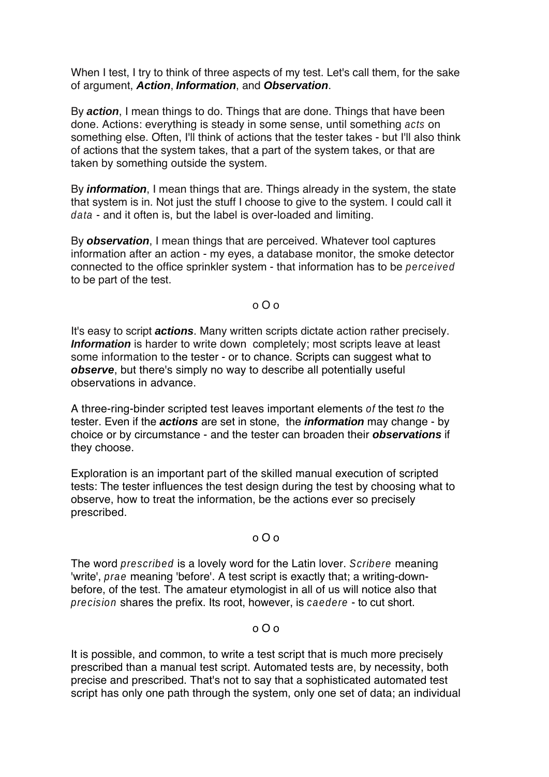When I test, I try to think of three aspects of my test. Let's call them, for the sake of argument, **Action**, **Information**, and **Observation**.

By **action**, I mean things to do. Things that are done. Things that have been done. Actions: everything is steady in some sense, until something acts on something else. Often, I'll think of actions that the tester takes - but I'll also think of actions that the system takes, that a part of the system takes, or that are taken by something outside the system.

By **information**, I mean things that are. Things already in the system, the state that system is in. Not just the stuff I choose to give to the system. I could call it data - and it often is, but the label is over-loaded and limiting.

By **observation**, I mean things that are perceived. Whatever tool captures information after an action - my eyes, a database monitor, the smoke detector connected to the office sprinkler system - that information has to be perceived to be part of the test.

o O o

It's easy to script **actions**. Many written scripts dictate action rather precisely. **Information** is harder to write down completely; most scripts leave at least some information to the tester - or to chance. Scripts can suggest what to **observe**, but there's simply no way to describe all potentially useful observations in advance.

A three-ring-binder scripted test leaves important elements of the test to the tester. Even if the **actions** are set in stone, the **information** may change - by choice or by circumstance - and the tester can broaden their **observations** if they choose.

Exploration is an important part of the skilled manual execution of scripted tests: The tester influences the test design during the test by choosing what to observe, how to treat the information, be the actions ever so precisely prescribed.

# o O o

The word *prescribed* is a lovely word for the Latin lover. Scribere meaning 'write', prae meaning 'before'. A test script is exactly that; a writing-downbefore, of the test. The amateur etymologist in all of us will notice also that precision shares the prefix. Its root, however, is caedere - to cut short.

# o O o

It is possible, and common, to write a test script that is much more precisely prescribed than a manual test script. Automated tests are, by necessity, both precise and prescribed. That's not to say that a sophisticated automated test script has only one path through the system, only one set of data; an individual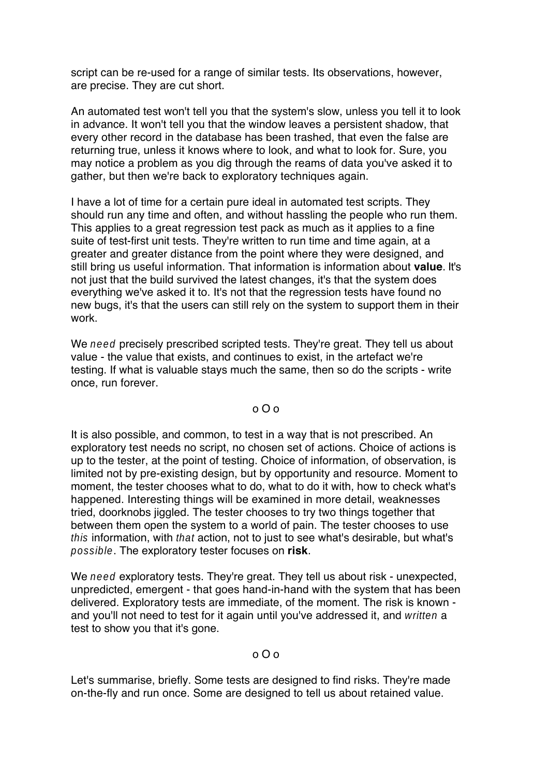script can be re-used for a range of similar tests. Its observations, however, are precise. They are cut short.

An automated test won't tell you that the system's slow, unless you tell it to look in advance. It won't tell you that the window leaves a persistent shadow, that every other record in the database has been trashed, that even the false are returning true, unless it knows where to look, and what to look for. Sure, you may notice a problem as you dig through the reams of data you've asked it to gather, but then we're back to exploratory techniques again.

I have a lot of time for a certain pure ideal in automated test scripts. They should run any time and often, and without hassling the people who run them. This applies to a great regression test pack as much as it applies to a fine suite of test-first unit tests. They're written to run time and time again, at a greater and greater distance from the point where they were designed, and still bring us useful information. That information is information about **value**. It's not just that the build survived the latest changes, it's that the system does everything we've asked it to. It's not that the regression tests have found no new bugs, it's that the users can still rely on the system to support them in their work.

We need precisely prescribed scripted tests. They're great. They tell us about value - the value that exists, and continues to exist, in the artefact we're testing. If what is valuable stays much the same, then so do the scripts - write once, run forever.

### o O o

It is also possible, and common, to test in a way that is not prescribed. An exploratory test needs no script, no chosen set of actions. Choice of actions is up to the tester, at the point of testing. Choice of information, of observation, is limited not by pre-existing design, but by opportunity and resource. Moment to moment, the tester chooses what to do, what to do it with, how to check what's happened. Interesting things will be examined in more detail, weaknesses tried, doorknobs jiggled. The tester chooses to try two things together that between them open the system to a world of pain. The tester chooses to use this information, with that action, not to just to see what's desirable, but what's possible. The exploratory tester focuses on **risk**.

We need exploratory tests. They're great. They tell us about risk - unexpected, unpredicted, emergent - that goes hand-in-hand with the system that has been delivered. Exploratory tests are immediate, of the moment. The risk is known and you'll not need to test for it again until you've addressed it, and written a test to show you that it's gone.

# o O o

Let's summarise, briefly. Some tests are designed to find risks. They're made on-the-fly and run once. Some are designed to tell us about retained value.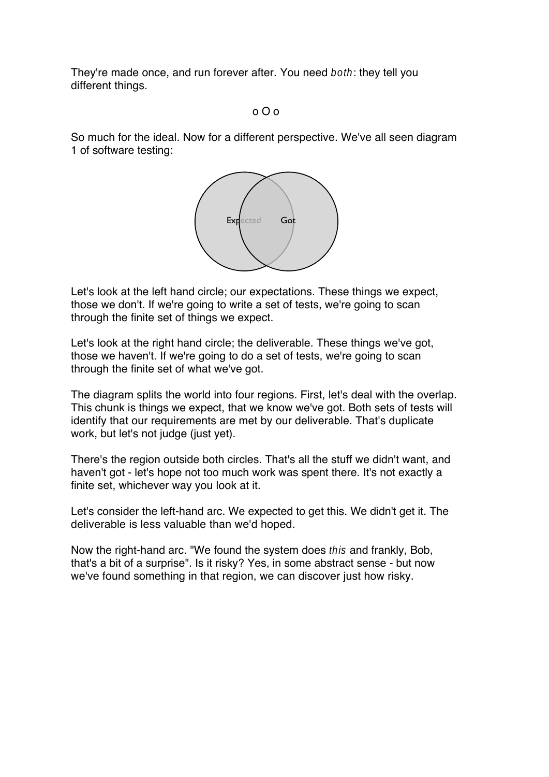They're made once, and run forever after. You need both: they tell you different things.

# o O o

So much for the ideal. Now for a different perspective. We've all seen diagram 1 of software testing:



Let's look at the left hand circle; our expectations. These things we expect, those we don't. If we're going to write a set of tests, we're going to scan through the finite set of things we expect.

Let's look at the right hand circle; the deliverable. These things we've got, those we haven't. If we're going to do a set of tests, we're going to scan through the finite set of what we've got.

The diagram splits the world into four regions. First, let's deal with the overlap. This chunk is things we expect, that we know we've got. Both sets of tests will identify that our requirements are met by our deliverable. That's duplicate work, but let's not judge (just yet).

There's the region outside both circles. That's all the stuff we didn't want, and haven't got - let's hope not too much work was spent there. It's not exactly a finite set, whichever way you look at it.

Let's consider the left-hand arc. We expected to get this. We didn't get it. The deliverable is less valuable than we'd hoped.

Now the right-hand arc. "We found the system does this and frankly, Bob, that's a bit of a surprise". Is it risky? Yes, in some abstract sense - but now we've found something in that region, we can discover just how risky.